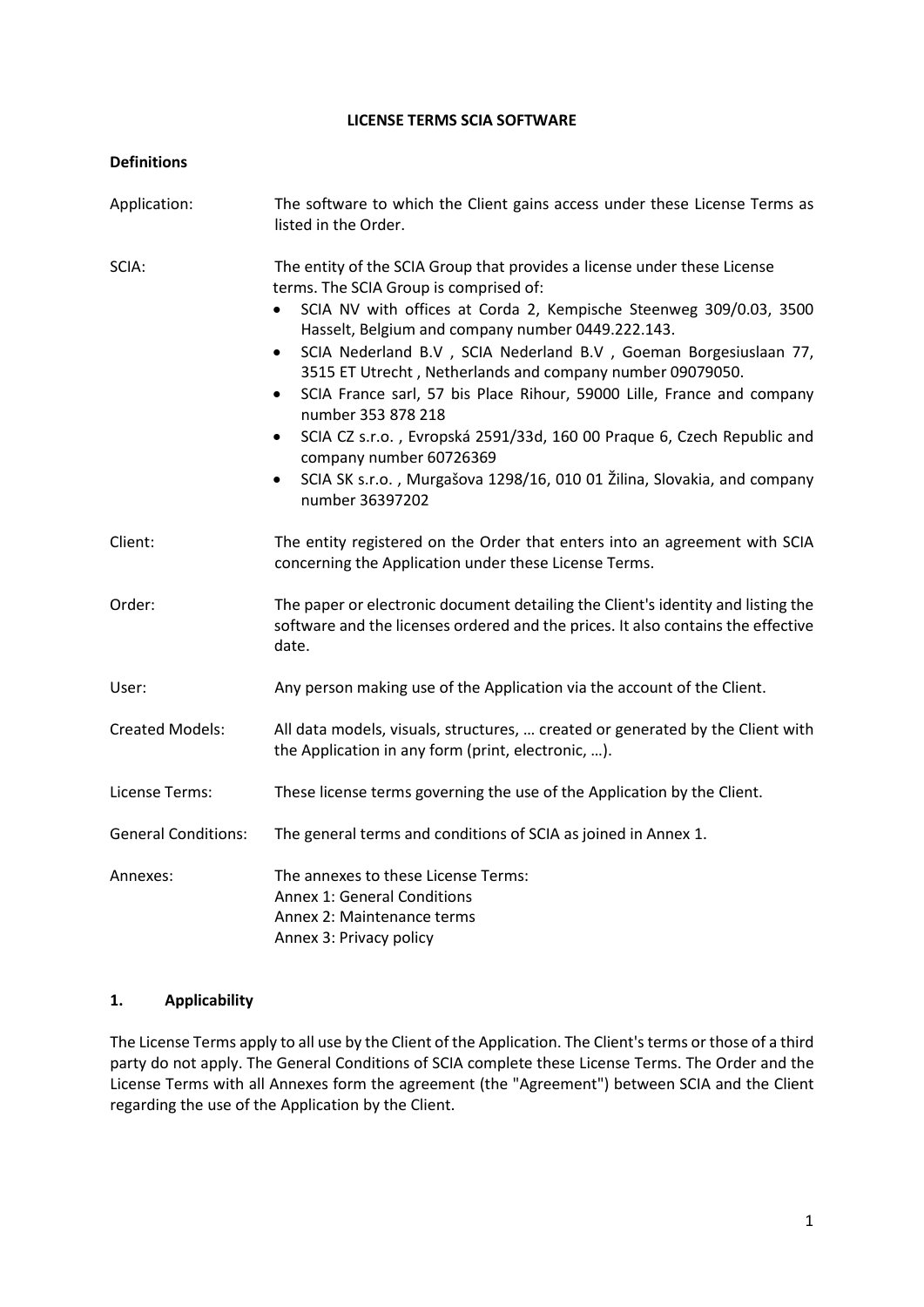#### **LICENSE TERMS SCIA SOFTWARE**

| <b>Definitions</b>         |                                                                                                                                                                                                                                                                                                                                                                                                                                                                                                                                                                                                                                                                                                               |
|----------------------------|---------------------------------------------------------------------------------------------------------------------------------------------------------------------------------------------------------------------------------------------------------------------------------------------------------------------------------------------------------------------------------------------------------------------------------------------------------------------------------------------------------------------------------------------------------------------------------------------------------------------------------------------------------------------------------------------------------------|
| Application:               | The software to which the Client gains access under these License Terms as<br>listed in the Order.                                                                                                                                                                                                                                                                                                                                                                                                                                                                                                                                                                                                            |
| SCIA:                      | The entity of the SCIA Group that provides a license under these License<br>terms. The SCIA Group is comprised of:<br>SCIA NV with offices at Corda 2, Kempische Steenweg 309/0.03, 3500<br>Hasselt, Belgium and company number 0449.222.143.<br>SCIA Nederland B.V , SCIA Nederland B.V , Goeman Borgesiuslaan 77,<br>$\bullet$<br>3515 ET Utrecht, Netherlands and company number 09079050.<br>SCIA France sarl, 57 bis Place Rihour, 59000 Lille, France and company<br>$\bullet$<br>number 353 878 218<br>SCIA CZ s.r.o., Evropská 2591/33d, 160 00 Praque 6, Czech Republic and<br>company number 60726369<br>SCIA SK s.r.o., Murgašova 1298/16, 010 01 Žilina, Slovakia, and company<br>number 36397202 |
| Client:                    | The entity registered on the Order that enters into an agreement with SCIA<br>concerning the Application under these License Terms.                                                                                                                                                                                                                                                                                                                                                                                                                                                                                                                                                                           |
| Order:                     | The paper or electronic document detailing the Client's identity and listing the<br>software and the licenses ordered and the prices. It also contains the effective<br>date.                                                                                                                                                                                                                                                                                                                                                                                                                                                                                                                                 |
| User:                      | Any person making use of the Application via the account of the Client.                                                                                                                                                                                                                                                                                                                                                                                                                                                                                                                                                                                                                                       |
| <b>Created Models:</b>     | All data models, visuals, structures,  created or generated by the Client with<br>the Application in any form (print, electronic, ).                                                                                                                                                                                                                                                                                                                                                                                                                                                                                                                                                                          |
| License Terms:             | These license terms governing the use of the Application by the Client.                                                                                                                                                                                                                                                                                                                                                                                                                                                                                                                                                                                                                                       |
| <b>General Conditions:</b> | The general terms and conditions of SCIA as joined in Annex 1.                                                                                                                                                                                                                                                                                                                                                                                                                                                                                                                                                                                                                                                |
| Annexes:                   | The annexes to these License Terms:<br><b>Annex 1: General Conditions</b><br>Annex 2: Maintenance terms<br>Annex 3: Privacy policy                                                                                                                                                                                                                                                                                                                                                                                                                                                                                                                                                                            |

### **1. Applicability**

The License Terms apply to all use by the Client of the Application. The Client's terms or those of a third party do not apply. The General Conditions of SCIA complete these License Terms. The Order and the License Terms with all Annexes form the agreement (the "Agreement") between SCIA and the Client regarding the use of the Application by the Client.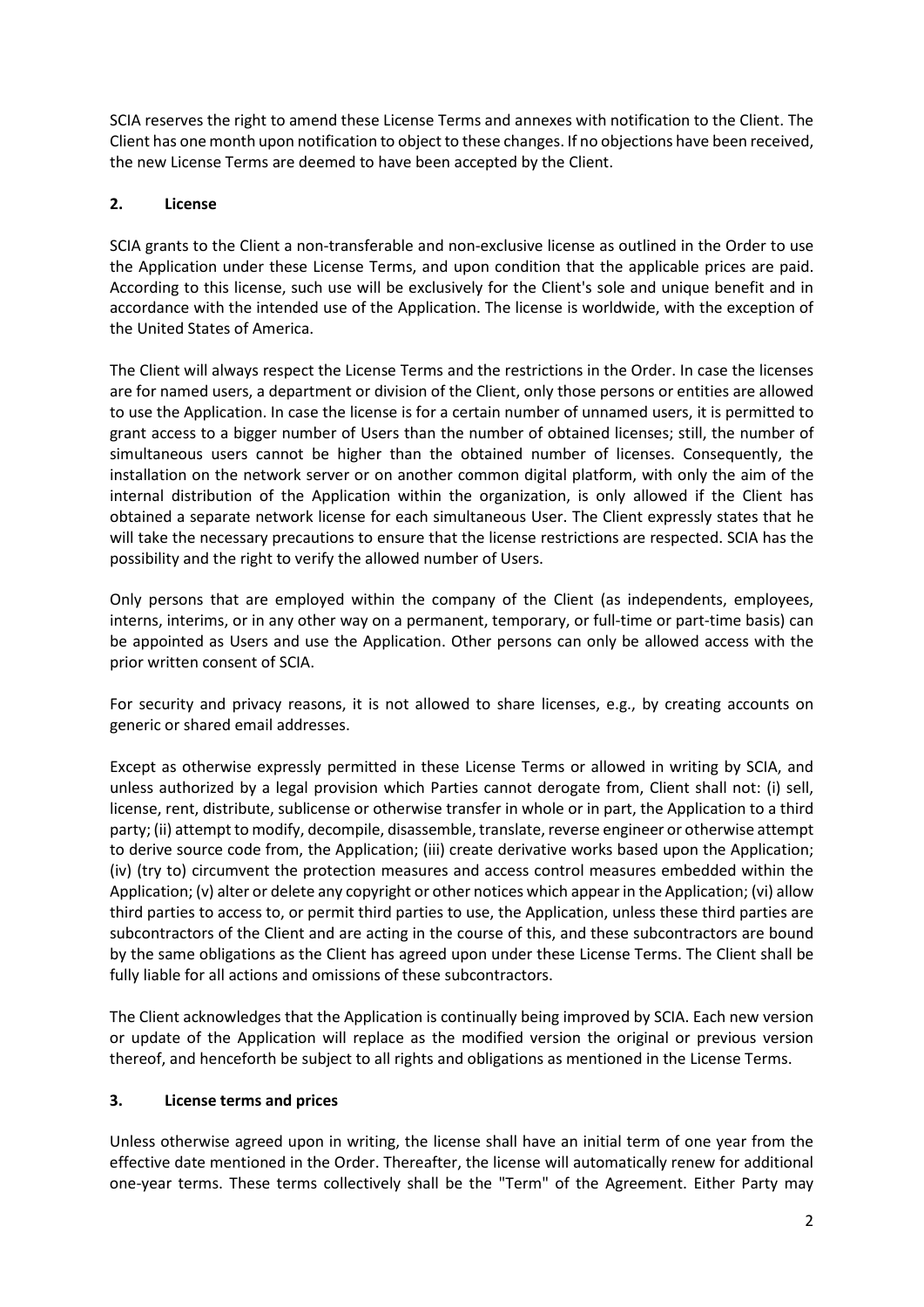SCIA reserves the right to amend these License Terms and annexes with notification to the Client. The Client has one month upon notification to object to these changes. If no objections have been received, the new License Terms are deemed to have been accepted by the Client.

# **2. License**

SCIA grants to the Client a non-transferable and non-exclusive license as outlined in the Order to use the Application under these License Terms, and upon condition that the applicable prices are paid. According to this license, such use will be exclusively for the Client's sole and unique benefit and in accordance with the intended use of the Application. The license is worldwide, with the exception of the United States of America.

The Client will always respect the License Terms and the restrictions in the Order. In case the licenses are for named users, a department or division of the Client, only those persons or entities are allowed to use the Application. In case the license is for a certain number of unnamed users, it is permitted to grant access to a bigger number of Users than the number of obtained licenses; still, the number of simultaneous users cannot be higher than the obtained number of licenses. Consequently, the installation on the network server or on another common digital platform, with only the aim of the internal distribution of the Application within the organization, is only allowed if the Client has obtained a separate network license for each simultaneous User. The Client expressly states that he will take the necessary precautions to ensure that the license restrictions are respected. SCIA has the possibility and the right to verify the allowed number of Users.

Only persons that are employed within the company of the Client (as independents, employees, interns, interims, or in any other way on a permanent, temporary, or full-time or part-time basis) can be appointed as Users and use the Application. Other persons can only be allowed access with the prior written consent of SCIA.

For security and privacy reasons, it is not allowed to share licenses, e.g., by creating accounts on generic or shared email addresses.

Except as otherwise expressly permitted in these License Terms or allowed in writing by SCIA, and unless authorized by a legal provision which Parties cannot derogate from, Client shall not: (i) sell, license, rent, distribute, sublicense or otherwise transfer in whole or in part, the Application to a third party; (ii) attempt to modify, decompile, disassemble, translate, reverse engineer or otherwise attempt to derive source code from, the Application; (iii) create derivative works based upon the Application; (iv) (try to) circumvent the protection measures and access control measures embedded within the Application; (v) alter or delete any copyright or other notices which appear in the Application; (vi) allow third parties to access to, or permit third parties to use, the Application, unless these third parties are subcontractors of the Client and are acting in the course of this, and these subcontractors are bound by the same obligations as the Client has agreed upon under these License Terms. The Client shall be fully liable for all actions and omissions of these subcontractors.

The Client acknowledges that the Application is continually being improved by SCIA. Each new version or update of the Application will replace as the modified version the original or previous version thereof, and henceforth be subject to all rights and obligations as mentioned in the License Terms.

### **3. License terms and prices**

Unless otherwise agreed upon in writing, the license shall have an initial term of one year from the effective date mentioned in the Order. Thereafter, the license will automatically renew for additional one-year terms. These terms collectively shall be the "Term" of the Agreement. Either Party may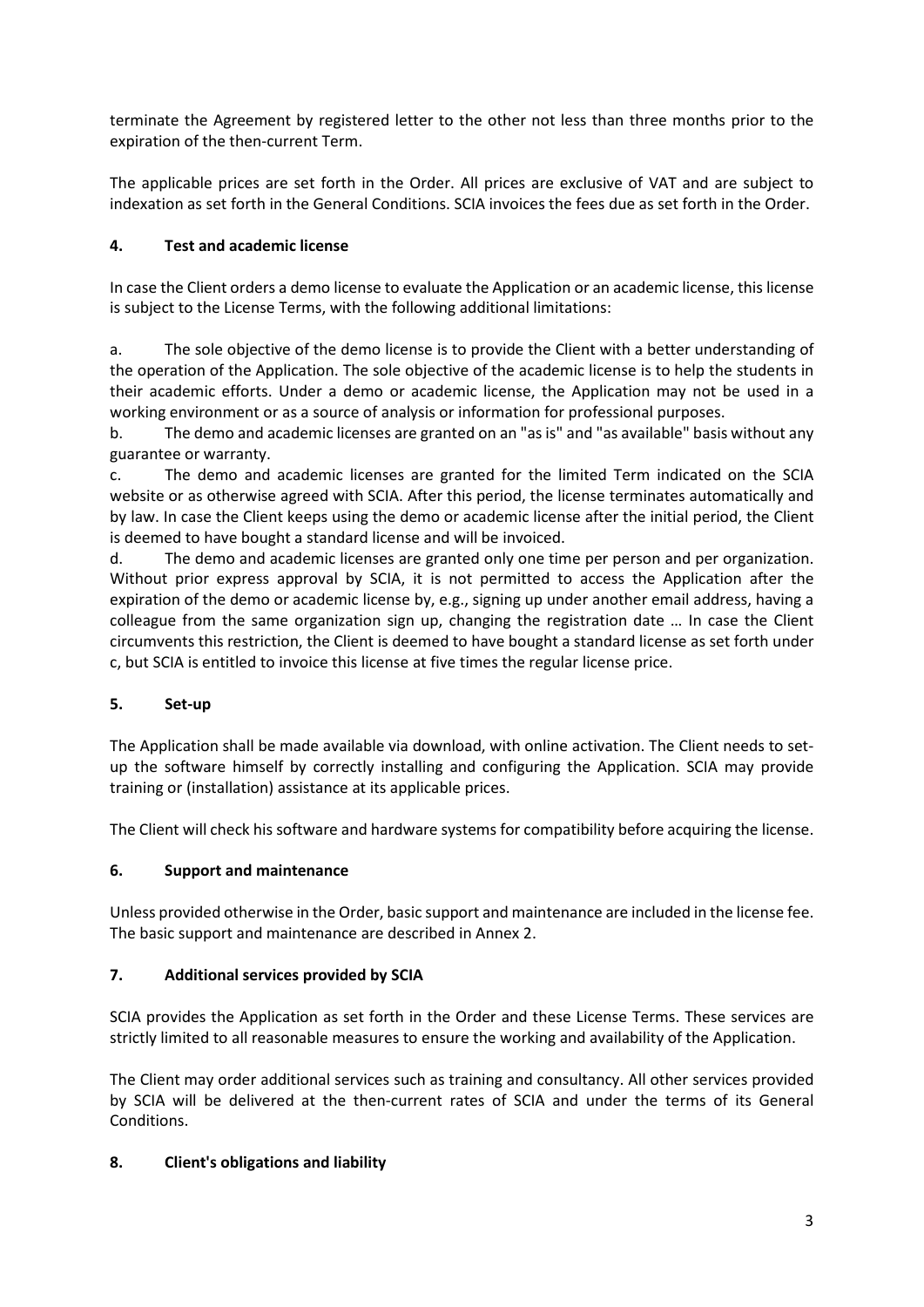terminate the Agreement by registered letter to the other not less than three months prior to the expiration of the then-current Term.

The applicable prices are set forth in the Order. All prices are exclusive of VAT and are subject to indexation as set forth in the General Conditions. SCIA invoices the fees due as set forth in the Order.

## **4. Test and academic license**

In case the Client orders a demo license to evaluate the Application or an academic license, this license is subject to the License Terms, with the following additional limitations:

a. The sole objective of the demo license is to provide the Client with a better understanding of the operation of the Application. The sole objective of the academic license is to help the students in their academic efforts. Under a demo or academic license, the Application may not be used in a working environment or as a source of analysis or information for professional purposes.

b. The demo and academic licenses are granted on an "as is" and "as available" basis without any guarantee or warranty.

c. The demo and academic licenses are granted for the limited Term indicated on the SCIA website or as otherwise agreed with SCIA. After this period, the license terminates automatically and by law. In case the Client keeps using the demo or academic license after the initial period, the Client is deemed to have bought a standard license and will be invoiced.

d. The demo and academic licenses are granted only one time per person and per organization. Without prior express approval by SCIA, it is not permitted to access the Application after the expiration of the demo or academic license by, e.g., signing up under another email address, having a colleague from the same organization sign up, changing the registration date … In case the Client circumvents this restriction, the Client is deemed to have bought a standard license as set forth under c, but SCIA is entitled to invoice this license at five times the regular license price.

# **5. Set-up**

The Application shall be made available via download, with online activation. The Client needs to setup the software himself by correctly installing and configuring the Application. SCIA may provide training or (installation) assistance at its applicable prices.

The Client will check his software and hardware systems for compatibility before acquiring the license.

### **6. Support and maintenance**

Unless provided otherwise in the Order, basic support and maintenance are included in the license fee. The basic support and maintenance are described in Annex 2.

### **7. Additional services provided by SCIA**

SCIA provides the Application as set forth in the Order and these License Terms. These services are strictly limited to all reasonable measures to ensure the working and availability of the Application.

The Client may order additional services such as training and consultancy. All other services provided by SCIA will be delivered at the then-current rates of SCIA and under the terms of its General Conditions.

### **8. Client's obligations and liability**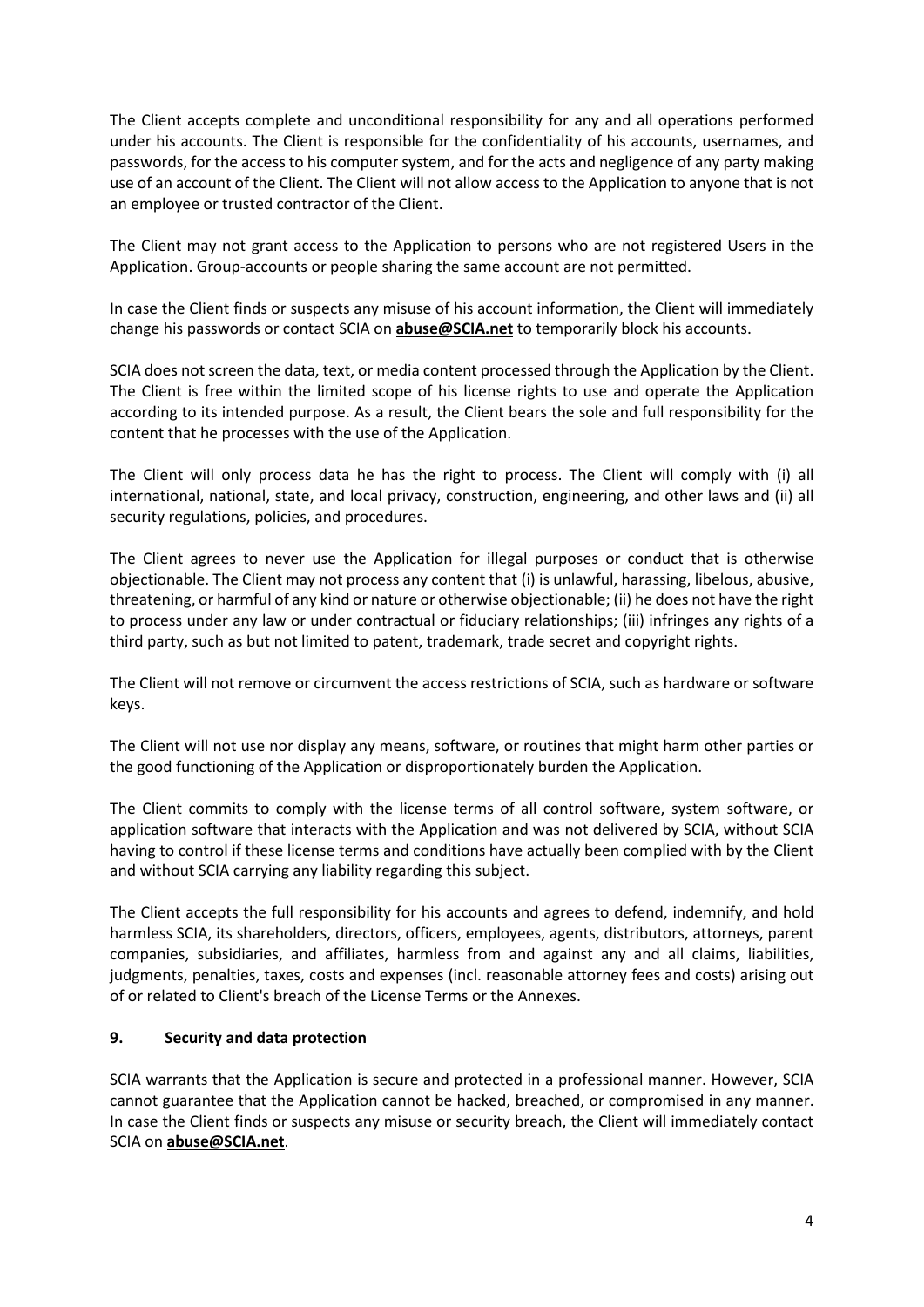The Client accepts complete and unconditional responsibility for any and all operations performed under his accounts. The Client is responsible for the confidentiality of his accounts, usernames, and passwords, for the access to his computer system, and for the acts and negligence of any party making use of an account of the Client. The Client will not allow access to the Application to anyone that is not an employee or trusted contractor of the Client.

The Client may not grant access to the Application to persons who are not registered Users in the Application. Group-accounts or people sharing the same account are not permitted.

In case the Client finds or suspects any misuse of his account information, the Client will immediately change his passwords or contact SCIA on **abuse@SCIA.net** to temporarily block his accounts.

SCIA does not screen the data, text, or media content processed through the Application by the Client. The Client is free within the limited scope of his license rights to use and operate the Application according to its intended purpose. As a result, the Client bears the sole and full responsibility for the content that he processes with the use of the Application.

The Client will only process data he has the right to process. The Client will comply with (i) all international, national, state, and local privacy, construction, engineering, and other laws and (ii) all security regulations, policies, and procedures.

The Client agrees to never use the Application for illegal purposes or conduct that is otherwise objectionable. The Client may not process any content that (i) is unlawful, harassing, libelous, abusive, threatening, or harmful of any kind or nature or otherwise objectionable; (ii) he does not have the right to process under any law or under contractual or fiduciary relationships; (iii) infringes any rights of a third party, such as but not limited to patent, trademark, trade secret and copyright rights.

The Client will not remove or circumvent the access restrictions of SCIA, such as hardware or software keys.

The Client will not use nor display any means, software, or routines that might harm other parties or the good functioning of the Application or disproportionately burden the Application.

The Client commits to comply with the license terms of all control software, system software, or application software that interacts with the Application and was not delivered by SCIA, without SCIA having to control if these license terms and conditions have actually been complied with by the Client and without SCIA carrying any liability regarding this subject.

The Client accepts the full responsibility for his accounts and agrees to defend, indemnify, and hold harmless SCIA, its shareholders, directors, officers, employees, agents, distributors, attorneys, parent companies, subsidiaries, and affiliates, harmless from and against any and all claims, liabilities, judgments, penalties, taxes, costs and expenses (incl. reasonable attorney fees and costs) arising out of or related to Client's breach of the License Terms or the Annexes.

### **9. Security and data protection**

SCIA warrants that the Application is secure and protected in a professional manner. However, SCIA cannot guarantee that the Application cannot be hacked, breached, or compromised in any manner. In case the Client finds or suspects any misuse or security breach, the Client will immediately contact SCIA on **abuse@SCIA.net**.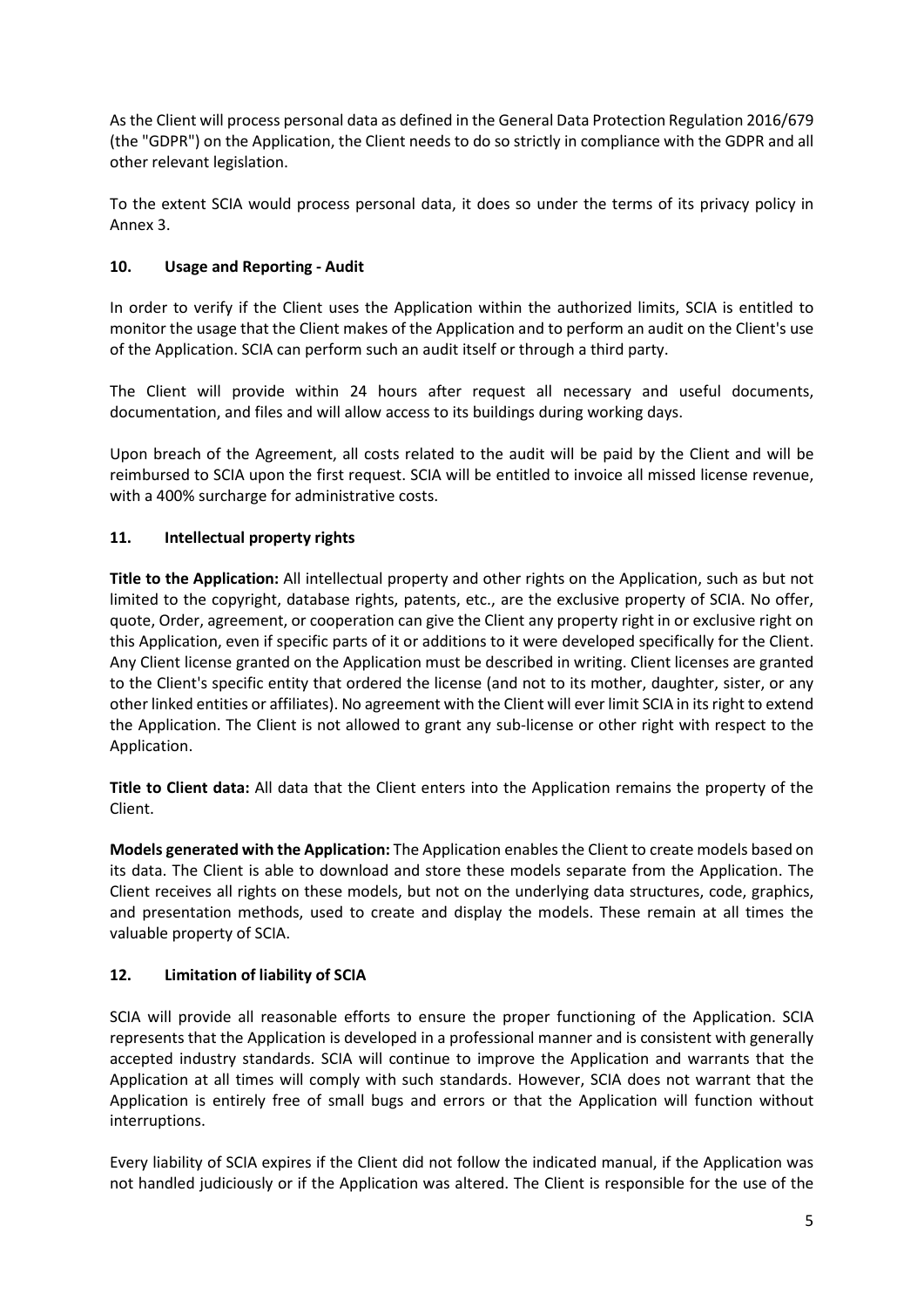As the Client will process personal data as defined in the General Data Protection Regulation 2016/679 (the "GDPR") on the Application, the Client needs to do so strictly in compliance with the GDPR and all other relevant legislation.

To the extent SCIA would process personal data, it does so under the terms of its privacy policy in Annex 3.

# **10. Usage and Reporting - Audit**

In order to verify if the Client uses the Application within the authorized limits, SCIA is entitled to monitor the usage that the Client makes of the Application and to perform an audit on the Client's use of the Application. SCIA can perform such an audit itself or through a third party.

The Client will provide within 24 hours after request all necessary and useful documents, documentation, and files and will allow access to its buildings during working days.

Upon breach of the Agreement, all costs related to the audit will be paid by the Client and will be reimbursed to SCIA upon the first request. SCIA will be entitled to invoice all missed license revenue, with a 400% surcharge for administrative costs.

## **11. Intellectual property rights**

**Title to the Application:** All intellectual property and other rights on the Application, such as but not limited to the copyright, database rights, patents, etc., are the exclusive property of SCIA. No offer, quote, Order, agreement, or cooperation can give the Client any property right in or exclusive right on this Application, even if specific parts of it or additions to it were developed specifically for the Client. Any Client license granted on the Application must be described in writing. Client licenses are granted to the Client's specific entity that ordered the license (and not to its mother, daughter, sister, or any other linked entities or affiliates). No agreement with the Client will ever limit SCIA in its right to extend the Application. The Client is not allowed to grant any sub-license or other right with respect to the Application.

**Title to Client data:** All data that the Client enters into the Application remains the property of the Client.

**Models generated with the Application:** The Application enables the Client to create models based on its data. The Client is able to download and store these models separate from the Application. The Client receives all rights on these models, but not on the underlying data structures, code, graphics, and presentation methods, used to create and display the models. These remain at all times the valuable property of SCIA.

### **12. Limitation of liability of SCIA**

SCIA will provide all reasonable efforts to ensure the proper functioning of the Application. SCIA represents that the Application is developed in a professional manner and is consistent with generally accepted industry standards. SCIA will continue to improve the Application and warrants that the Application at all times will comply with such standards. However, SCIA does not warrant that the Application is entirely free of small bugs and errors or that the Application will function without interruptions.

Every liability of SCIA expires if the Client did not follow the indicated manual, if the Application was not handled judiciously or if the Application was altered. The Client is responsible for the use of the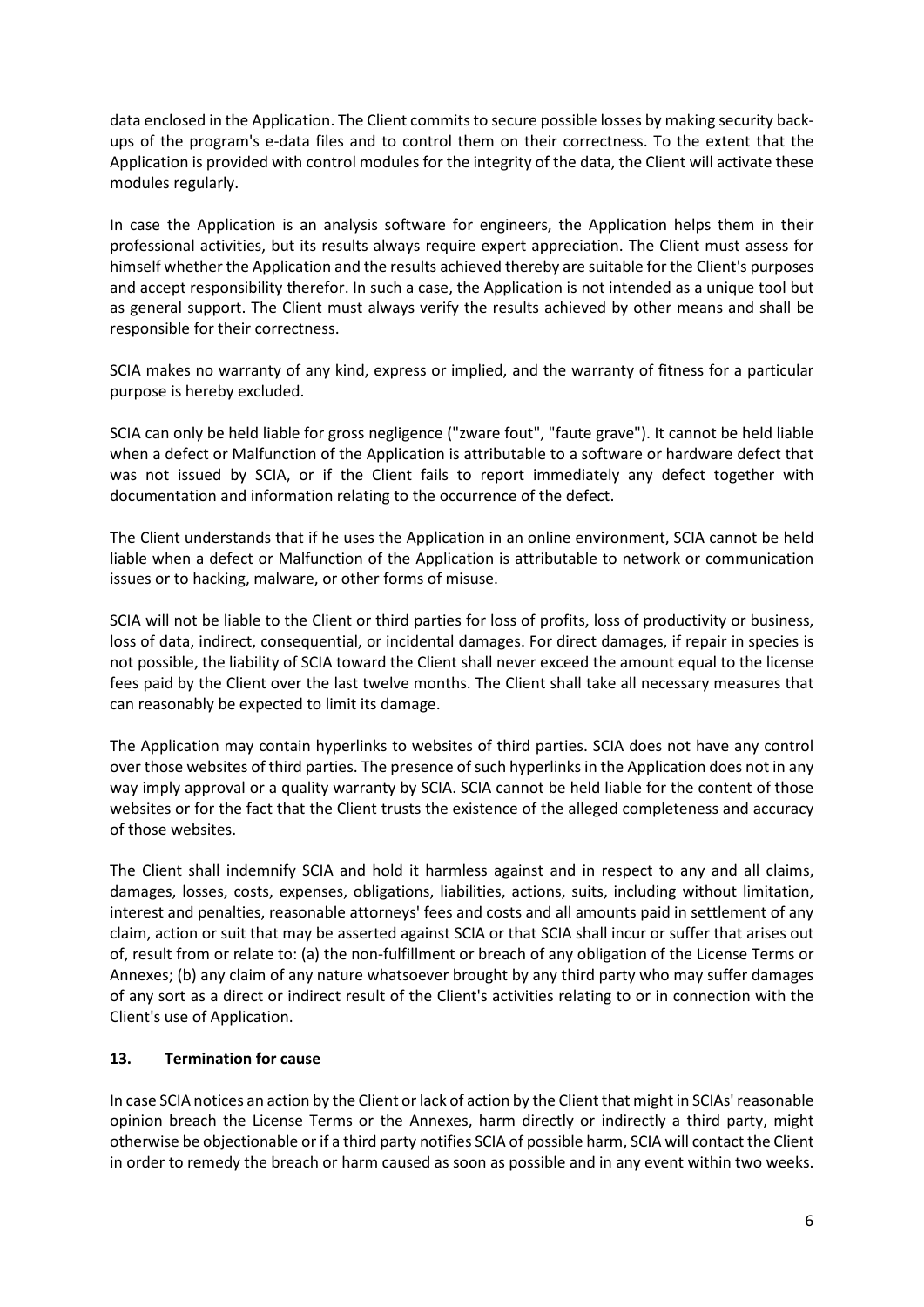data enclosed in the Application. The Client commits to secure possible losses by making security backups of the program's e-data files and to control them on their correctness. To the extent that the Application is provided with control modules for the integrity of the data, the Client will activate these modules regularly.

In case the Application is an analysis software for engineers, the Application helps them in their professional activities, but its results always require expert appreciation. The Client must assess for himself whether the Application and the results achieved thereby are suitable for the Client's purposes and accept responsibility therefor. In such a case, the Application is not intended as a unique tool but as general support. The Client must always verify the results achieved by other means and shall be responsible for their correctness.

SCIA makes no warranty of any kind, express or implied, and the warranty of fitness for a particular purpose is hereby excluded.

SCIA can only be held liable for gross negligence ("zware fout", "faute grave"). It cannot be held liable when a defect or Malfunction of the Application is attributable to a software or hardware defect that was not issued by SCIA, or if the Client fails to report immediately any defect together with documentation and information relating to the occurrence of the defect.

The Client understands that if he uses the Application in an online environment, SCIA cannot be held liable when a defect or Malfunction of the Application is attributable to network or communication issues or to hacking, malware, or other forms of misuse.

SCIA will not be liable to the Client or third parties for loss of profits, loss of productivity or business, loss of data, indirect, consequential, or incidental damages. For direct damages, if repair in species is not possible, the liability of SCIA toward the Client shall never exceed the amount equal to the license fees paid by the Client over the last twelve months. The Client shall take all necessary measures that can reasonably be expected to limit its damage.

The Application may contain hyperlinks to websites of third parties. SCIA does not have any control over those websites of third parties. The presence of such hyperlinks in the Application does not in any way imply approval or a quality warranty by SCIA. SCIA cannot be held liable for the content of those websites or for the fact that the Client trusts the existence of the alleged completeness and accuracy of those websites.

The Client shall indemnify SCIA and hold it harmless against and in respect to any and all claims, damages, losses, costs, expenses, obligations, liabilities, actions, suits, including without limitation, interest and penalties, reasonable attorneys' fees and costs and all amounts paid in settlement of any claim, action or suit that may be asserted against SCIA or that SCIA shall incur or suffer that arises out of, result from or relate to: (a) the non-fulfillment or breach of any obligation of the License Terms or Annexes; (b) any claim of any nature whatsoever brought by any third party who may suffer damages of any sort as a direct or indirect result of the Client's activities relating to or in connection with the Client's use of Application.

### **13. Termination for cause**

In case SCIA notices an action by the Client or lack of action by the Client that might in SCIAs' reasonable opinion breach the License Terms or the Annexes, harm directly or indirectly a third party, might otherwise be objectionable or if a third party notifies SCIA of possible harm, SCIA will contact the Client in order to remedy the breach or harm caused as soon as possible and in any event within two weeks.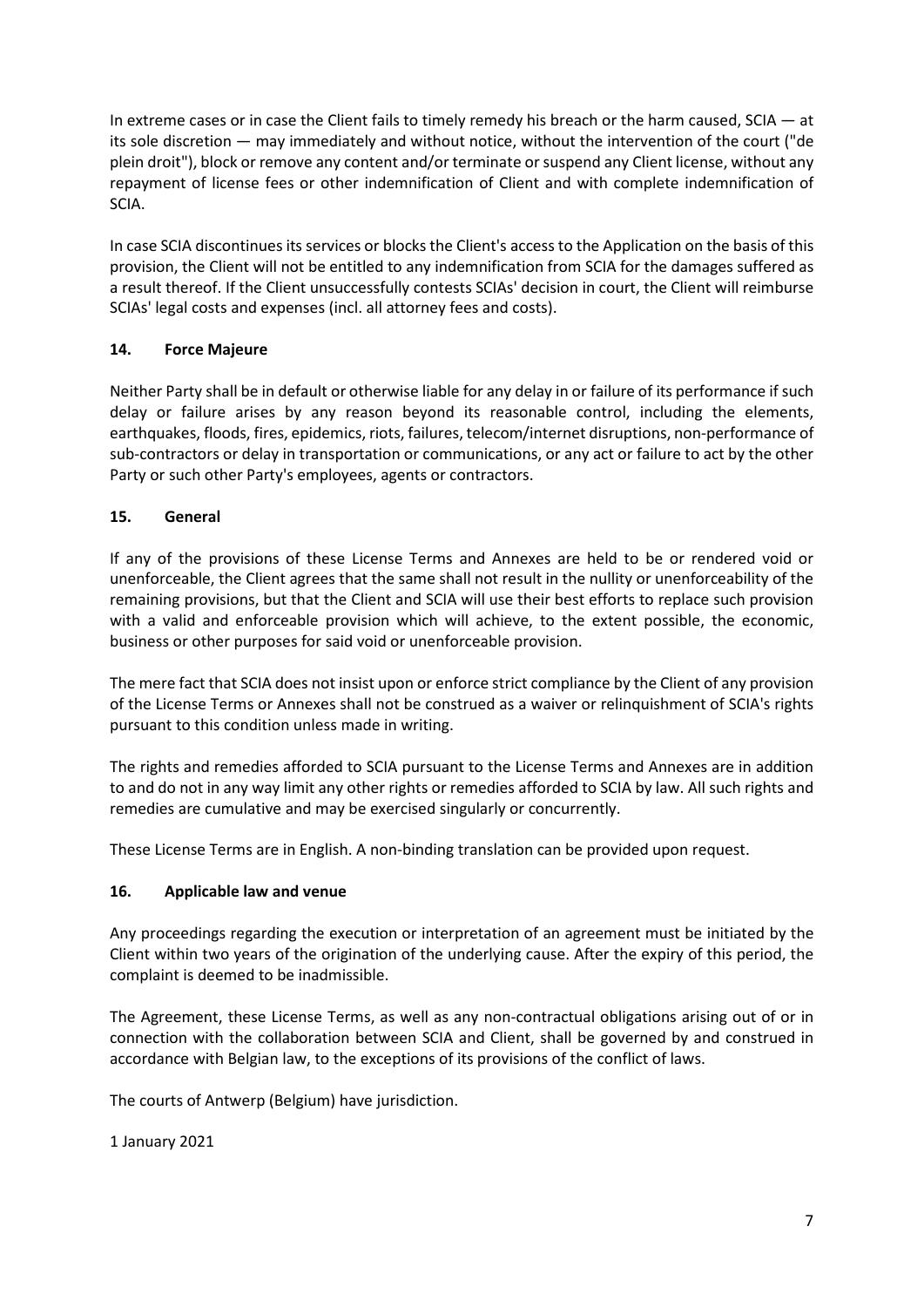In extreme cases or in case the Client fails to timely remedy his breach or the harm caused, SCIA — at its sole discretion — may immediately and without notice, without the intervention of the court ("de plein droit"), block or remove any content and/or terminate or suspend any Client license, without any repayment of license fees or other indemnification of Client and with complete indemnification of SCIA.

In case SCIA discontinues its services or blocks the Client's access to the Application on the basis of this provision, the Client will not be entitled to any indemnification from SCIA for the damages suffered as a result thereof. If the Client unsuccessfully contests SCIAs' decision in court, the Client will reimburse SCIAs' legal costs and expenses (incl. all attorney fees and costs).

## **14. Force Majeure**

Neither Party shall be in default or otherwise liable for any delay in or failure of its performance if such delay or failure arises by any reason beyond its reasonable control, including the elements, earthquakes, floods, fires, epidemics, riots, failures, telecom/internet disruptions, non-performance of sub-contractors or delay in transportation or communications, or any act or failure to act by the other Party or such other Party's employees, agents or contractors.

## **15. General**

If any of the provisions of these License Terms and Annexes are held to be or rendered void or unenforceable, the Client agrees that the same shall not result in the nullity or unenforceability of the remaining provisions, but that the Client and SCIA will use their best efforts to replace such provision with a valid and enforceable provision which will achieve, to the extent possible, the economic, business or other purposes for said void or unenforceable provision.

The mere fact that SCIA does not insist upon or enforce strict compliance by the Client of any provision of the License Terms or Annexes shall not be construed as a waiver or relinquishment of SCIA's rights pursuant to this condition unless made in writing.

The rights and remedies afforded to SCIA pursuant to the License Terms and Annexes are in addition to and do not in any way limit any other rights or remedies afforded to SCIA by law. All such rights and remedies are cumulative and may be exercised singularly or concurrently.

These License Terms are in English. A non-binding translation can be provided upon request.

### **16. Applicable law and venue**

Any proceedings regarding the execution or interpretation of an agreement must be initiated by the Client within two years of the origination of the underlying cause. After the expiry of this period, the complaint is deemed to be inadmissible.

The Agreement, these License Terms, as well as any non-contractual obligations arising out of or in connection with the collaboration between SCIA and Client, shall be governed by and construed in accordance with Belgian law, to the exceptions of its provisions of the conflict of laws.

The courts of Antwerp (Belgium) have jurisdiction.

1 January 2021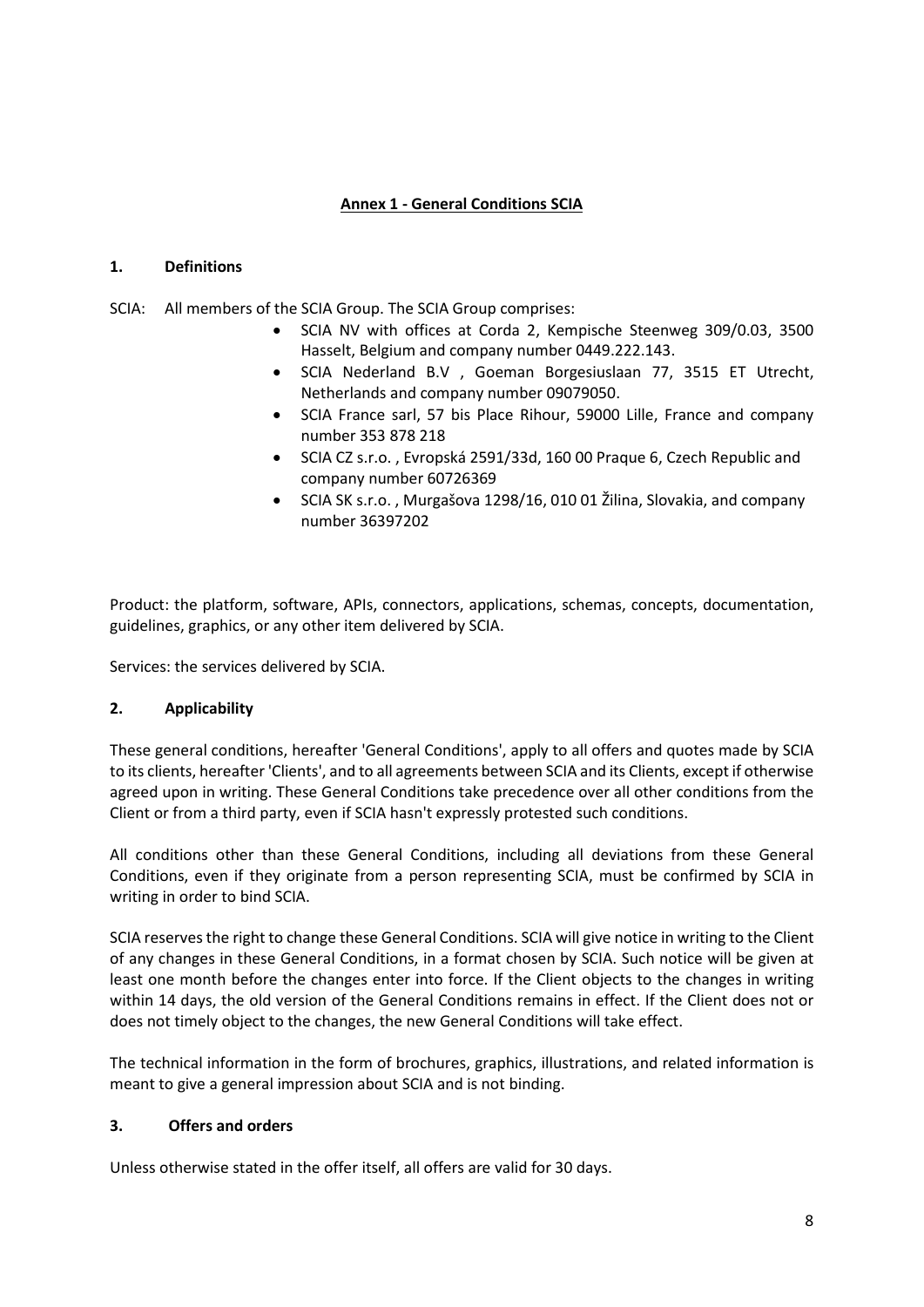# **Annex 1 - General Conditions SCIA**

#### **1. Definitions**

SCIA: All members of the SCIA Group. The SCIA Group comprises:

- SCIA NV with offices at Corda 2, Kempische Steenweg 309/0.03, 3500 Hasselt, Belgium and company number 0449.222.143.
- SCIA Nederland B.V , Goeman Borgesiuslaan 77, 3515 ET Utrecht, Netherlands and company number 09079050.
- SCIA France sarl, 57 bis Place Rihour, 59000 Lille, France and company number 353 878 218
- SCIA CZ s.r.o. , Evropská 2591/33d, 160 00 Praque 6, Czech Republic and company number 60726369
- SCIA SK s.r.o. , Murgašova 1298/16, 010 01 Žilina, Slovakia, and company number 36397202

Product: the platform, software, APIs, connectors, applications, schemas, concepts, documentation, guidelines, graphics, or any other item delivered by SCIA.

Services: the services delivered by SCIA.

### **2. Applicability**

These general conditions, hereafter 'General Conditions', apply to all offers and quotes made by SCIA to its clients, hereafter 'Clients', and to all agreements between SCIA and its Clients, except if otherwise agreed upon in writing. These General Conditions take precedence over all other conditions from the Client or from a third party, even if SCIA hasn't expressly protested such conditions.

All conditions other than these General Conditions, including all deviations from these General Conditions, even if they originate from a person representing SCIA, must be confirmed by SCIA in writing in order to bind SCIA.

SCIA reserves the right to change these General Conditions. SCIA will give notice in writing to the Client of any changes in these General Conditions, in a format chosen by SCIA. Such notice will be given at least one month before the changes enter into force. If the Client objects to the changes in writing within 14 days, the old version of the General Conditions remains in effect. If the Client does not or does not timely object to the changes, the new General Conditions will take effect.

The technical information in the form of brochures, graphics, illustrations, and related information is meant to give a general impression about SCIA and is not binding.

#### **3. Offers and orders**

Unless otherwise stated in the offer itself, all offers are valid for 30 days.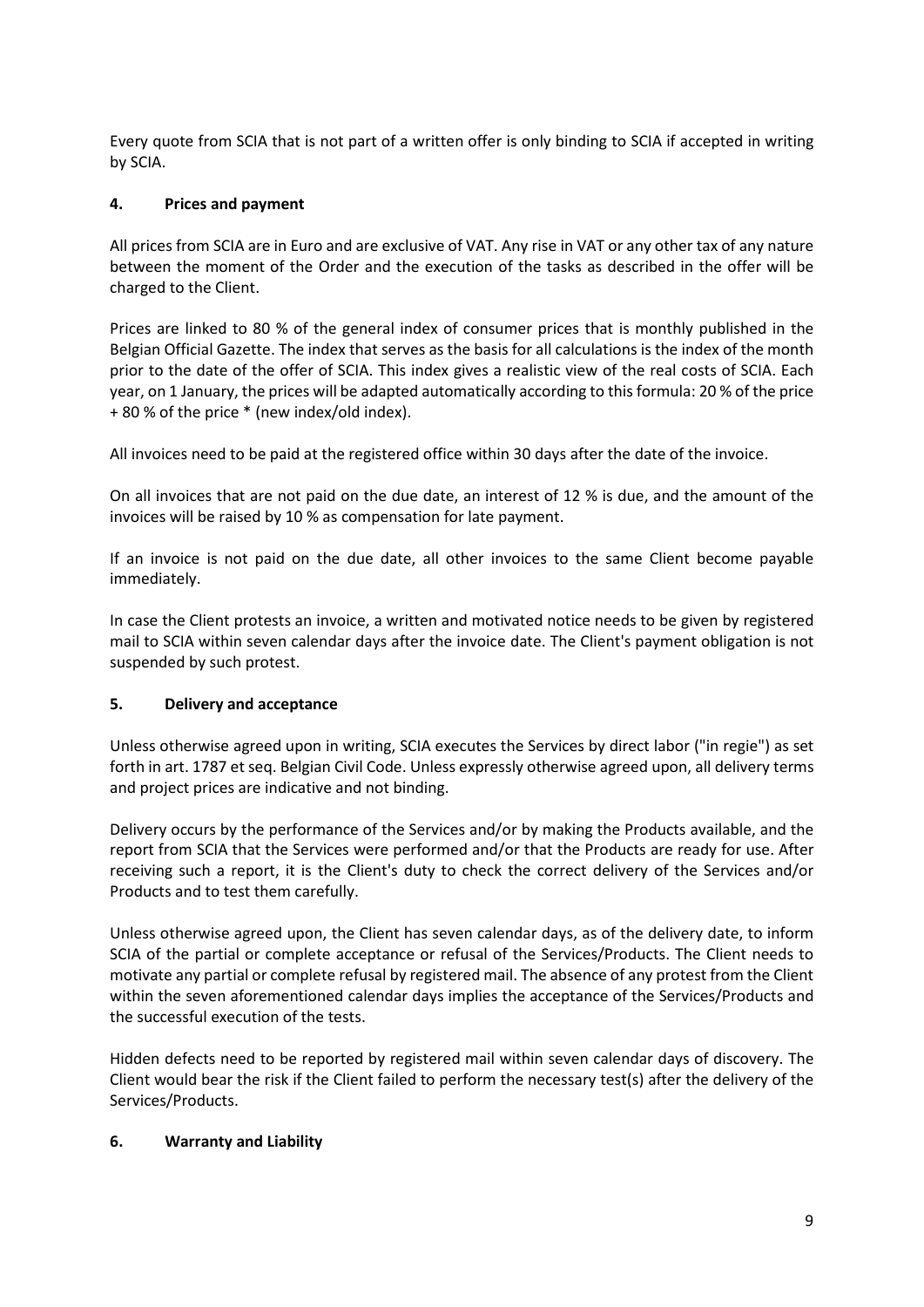Every quote from SCIA that is not part of a written offer is only binding to SCIA if accepted in writing by SCIA.

## **4. Prices and payment**

All prices from SCIA are in Euro and are exclusive of VAT. Any rise in VAT or any other tax of any nature between the moment of the Order and the execution of the tasks as described in the offer will be charged to the Client.

Prices are linked to 80 % of the general index of consumer prices that is monthly published in the Belgian Official Gazette. The index that serves as the basis for all calculations is the index of the month prior to the date of the offer of SCIA. This index gives a realistic view of the real costs of SCIA. Each year, on 1 January, the prices will be adapted automatically according to this formula: 20 % of the price + 80 % of the price \* (new index/old index).

All invoices need to be paid at the registered office within 30 days after the date of the invoice.

On all invoices that are not paid on the due date, an interest of 12 % is due, and the amount of the invoices will be raised by 10 % as compensation for late payment.

If an invoice is not paid on the due date, all other invoices to the same Client become payable immediately.

In case the Client protests an invoice, a written and motivated notice needs to be given by registered mail to SCIA within seven calendar days after the invoice date. The Client's payment obligation is not suspended by such protest.

### **5. Delivery and acceptance**

Unless otherwise agreed upon in writing, SCIA executes the Services by direct labor ("in regie") as set forth in art. 1787 et seq. Belgian Civil Code. Unless expressly otherwise agreed upon, all delivery terms and project prices are indicative and not binding.

Delivery occurs by the performance of the Services and/or by making the Products available, and the report from SCIA that the Services were performed and/or that the Products are ready for use. After receiving such a report, it is the Client's duty to check the correct delivery of the Services and/or Products and to test them carefully.

Unless otherwise agreed upon, the Client has seven calendar days, as of the delivery date, to inform SCIA of the partial or complete acceptance or refusal of the Services/Products. The Client needs to motivate any partial or complete refusal by registered mail. The absence of any protest from the Client within the seven aforementioned calendar days implies the acceptance of the Services/Products and the successful execution of the tests.

Hidden defects need to be reported by registered mail within seven calendar days of discovery. The Client would bear the risk if the Client failed to perform the necessary test(s) after the delivery of the Services/Products.

### **6. Warranty and Liability**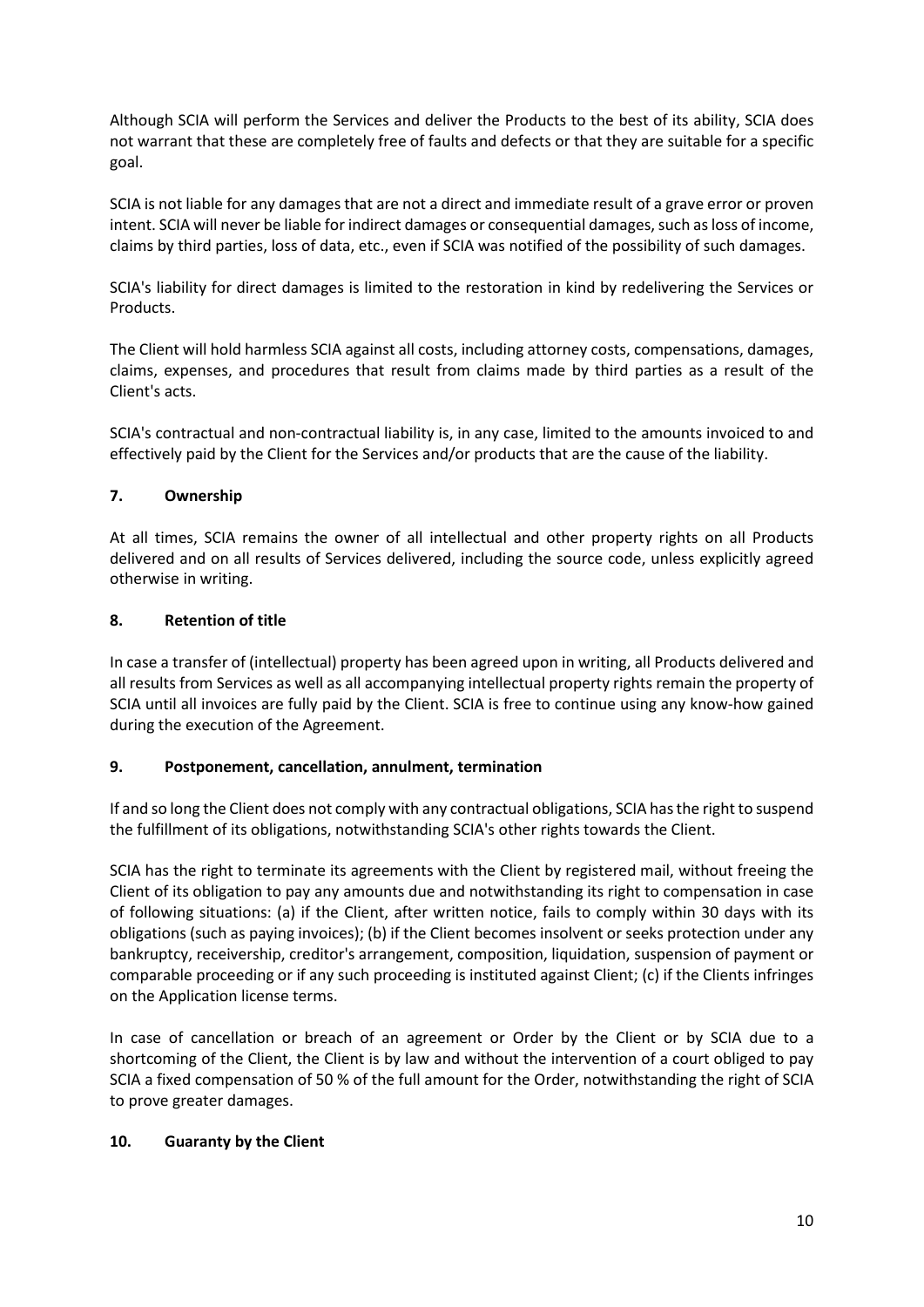Although SCIA will perform the Services and deliver the Products to the best of its ability, SCIA does not warrant that these are completely free of faults and defects or that they are suitable for a specific goal.

SCIA is not liable for any damages that are not a direct and immediate result of a grave error or proven intent. SCIA will never be liable for indirect damages or consequential damages, such as loss of income, claims by third parties, loss of data, etc., even if SCIA was notified of the possibility of such damages.

SCIA's liability for direct damages is limited to the restoration in kind by redelivering the Services or Products.

The Client will hold harmless SCIA against all costs, including attorney costs, compensations, damages, claims, expenses, and procedures that result from claims made by third parties as a result of the Client's acts.

SCIA's contractual and non-contractual liability is, in any case, limited to the amounts invoiced to and effectively paid by the Client for the Services and/or products that are the cause of the liability.

### **7. Ownership**

At all times, SCIA remains the owner of all intellectual and other property rights on all Products delivered and on all results of Services delivered, including the source code, unless explicitly agreed otherwise in writing.

### **8. Retention of title**

In case a transfer of (intellectual) property has been agreed upon in writing, all Products delivered and all results from Services as well as all accompanying intellectual property rights remain the property of SCIA until all invoices are fully paid by the Client. SCIA is free to continue using any know-how gained during the execution of the Agreement.

### **9. Postponement, cancellation, annulment, termination**

If and so long the Client does not comply with any contractual obligations, SCIA has the right to suspend the fulfillment of its obligations, notwithstanding SCIA's other rights towards the Client.

SCIA has the right to terminate its agreements with the Client by registered mail, without freeing the Client of its obligation to pay any amounts due and notwithstanding its right to compensation in case of following situations: (a) if the Client, after written notice, fails to comply within 30 days with its obligations (such as paying invoices); (b) if the Client becomes insolvent or seeks protection under any bankruptcy, receivership, creditor's arrangement, composition, liquidation, suspension of payment or comparable proceeding or if any such proceeding is instituted against Client; (c) if the Clients infringes on the Application license terms.

In case of cancellation or breach of an agreement or Order by the Client or by SCIA due to a shortcoming of the Client, the Client is by law and without the intervention of a court obliged to pay SCIA a fixed compensation of 50 % of the full amount for the Order, notwithstanding the right of SCIA to prove greater damages.

### **10. Guaranty by the Client**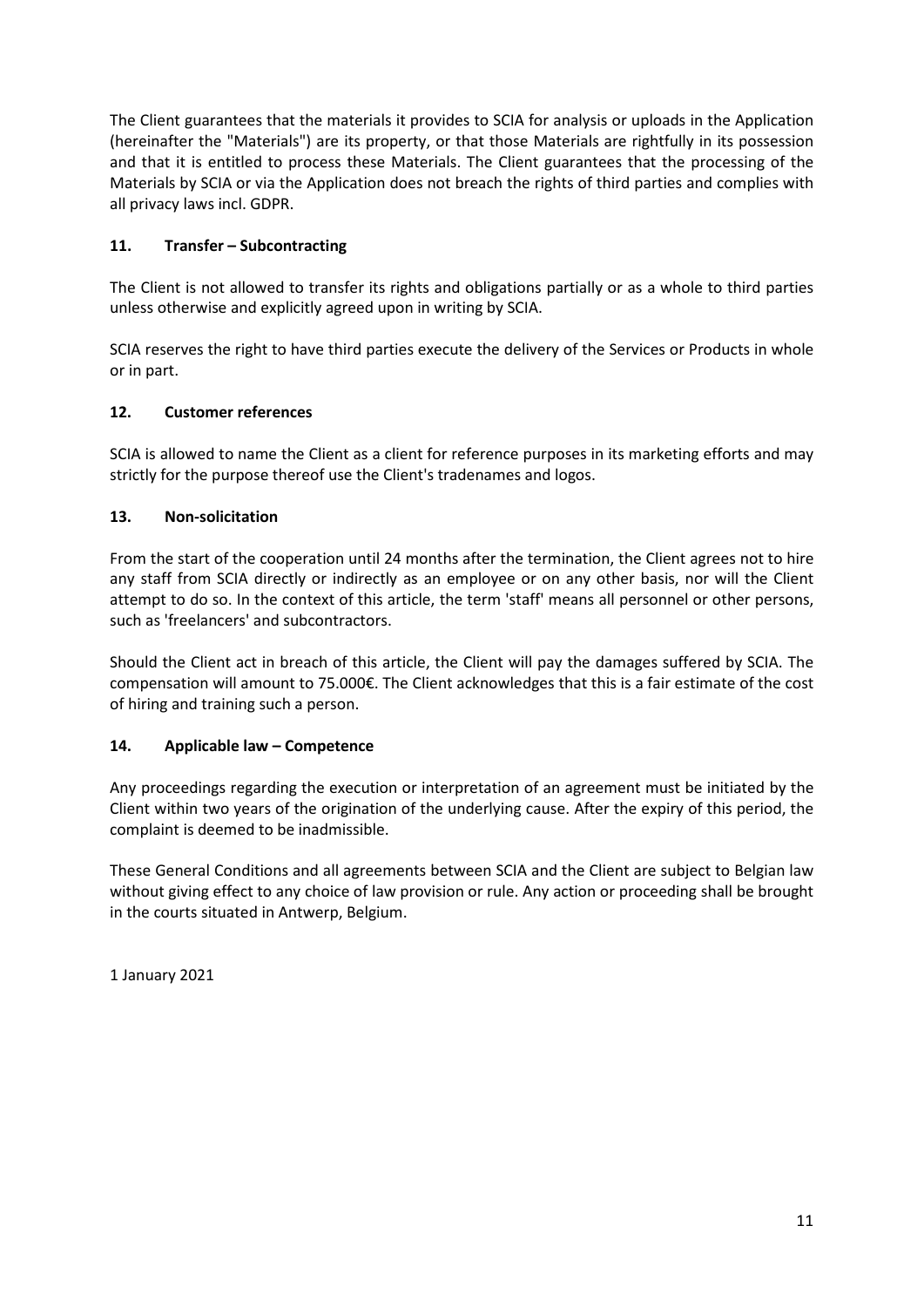The Client guarantees that the materials it provides to SCIA for analysis or uploads in the Application (hereinafter the "Materials") are its property, or that those Materials are rightfully in its possession and that it is entitled to process these Materials. The Client guarantees that the processing of the Materials by SCIA or via the Application does not breach the rights of third parties and complies with all privacy laws incl. GDPR.

# **11. Transfer – Subcontracting**

The Client is not allowed to transfer its rights and obligations partially or as a whole to third parties unless otherwise and explicitly agreed upon in writing by SCIA.

SCIA reserves the right to have third parties execute the delivery of the Services or Products in whole or in part.

### **12. Customer references**

SCIA is allowed to name the Client as a client for reference purposes in its marketing efforts and may strictly for the purpose thereof use the Client's tradenames and logos.

## **13. Non-solicitation**

From the start of the cooperation until 24 months after the termination, the Client agrees not to hire any staff from SCIA directly or indirectly as an employee or on any other basis, nor will the Client attempt to do so. In the context of this article, the term 'staff' means all personnel or other persons, such as 'freelancers' and subcontractors.

Should the Client act in breach of this article, the Client will pay the damages suffered by SCIA. The compensation will amount to 75.000€. The Client acknowledges that this is a fair estimate of the cost of hiring and training such a person.

### **14. Applicable law – Competence**

Any proceedings regarding the execution or interpretation of an agreement must be initiated by the Client within two years of the origination of the underlying cause. After the expiry of this period, the complaint is deemed to be inadmissible.

These General Conditions and all agreements between SCIA and the Client are subject to Belgian law without giving effect to any choice of law provision or rule. Any action or proceeding shall be brought in the courts situated in Antwerp, Belgium.

1 January 2021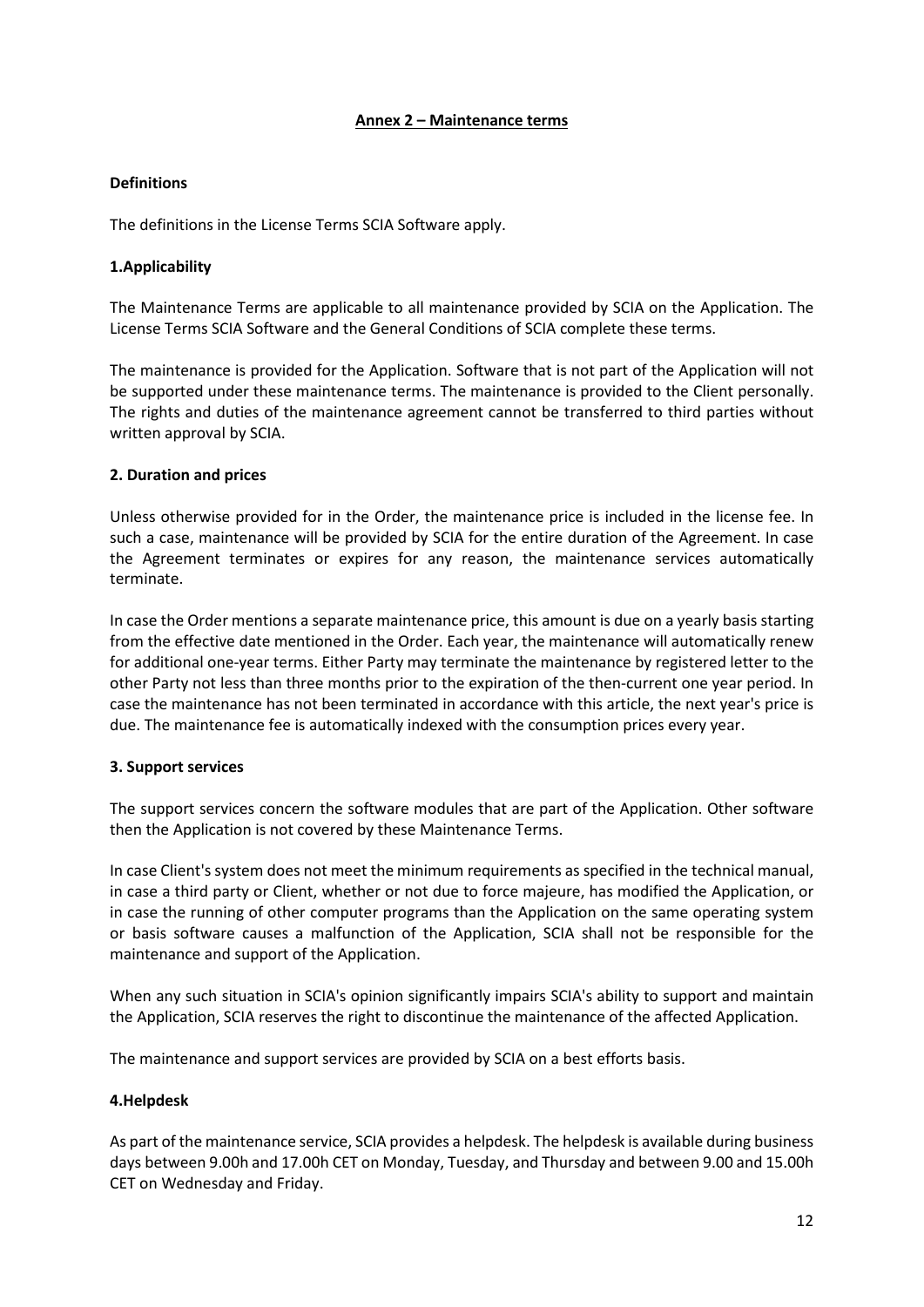#### **Annex 2 – Maintenance terms**

#### **Definitions**

The definitions in the License Terms SCIA Software apply.

#### **1.Applicability**

The Maintenance Terms are applicable to all maintenance provided by SCIA on the Application. The License Terms SCIA Software and the General Conditions of SCIA complete these terms.

The maintenance is provided for the Application. Software that is not part of the Application will not be supported under these maintenance terms. The maintenance is provided to the Client personally. The rights and duties of the maintenance agreement cannot be transferred to third parties without written approval by SCIA.

#### **2. Duration and prices**

Unless otherwise provided for in the Order, the maintenance price is included in the license fee. In such a case, maintenance will be provided by SCIA for the entire duration of the Agreement. In case the Agreement terminates or expires for any reason, the maintenance services automatically terminate.

In case the Order mentions a separate maintenance price, this amount is due on a yearly basis starting from the effective date mentioned in the Order. Each year, the maintenance will automatically renew for additional one-year terms. Either Party may terminate the maintenance by registered letter to the other Party not less than three months prior to the expiration of the then-current one year period. In case the maintenance has not been terminated in accordance with this article, the next year's price is due. The maintenance fee is automatically indexed with the consumption prices every year.

#### **3. Support services**

The support services concern the software modules that are part of the Application. Other software then the Application is not covered by these Maintenance Terms.

In case Client's system does not meet the minimum requirements as specified in the technical manual, in case a third party or Client, whether or not due to force majeure, has modified the Application, or in case the running of other computer programs than the Application on the same operating system or basis software causes a malfunction of the Application, SCIA shall not be responsible for the maintenance and support of the Application.

When any such situation in SCIA's opinion significantly impairs SCIA's ability to support and maintain the Application, SCIA reserves the right to discontinue the maintenance of the affected Application.

The maintenance and support services are provided by SCIA on a best efforts basis.

### **4.Helpdesk**

As part of the maintenance service, SCIA provides a helpdesk. The helpdesk is available during business days between 9.00h and 17.00h CET on Monday, Tuesday, and Thursday and between 9.00 and 15.00h CET on Wednesday and Friday.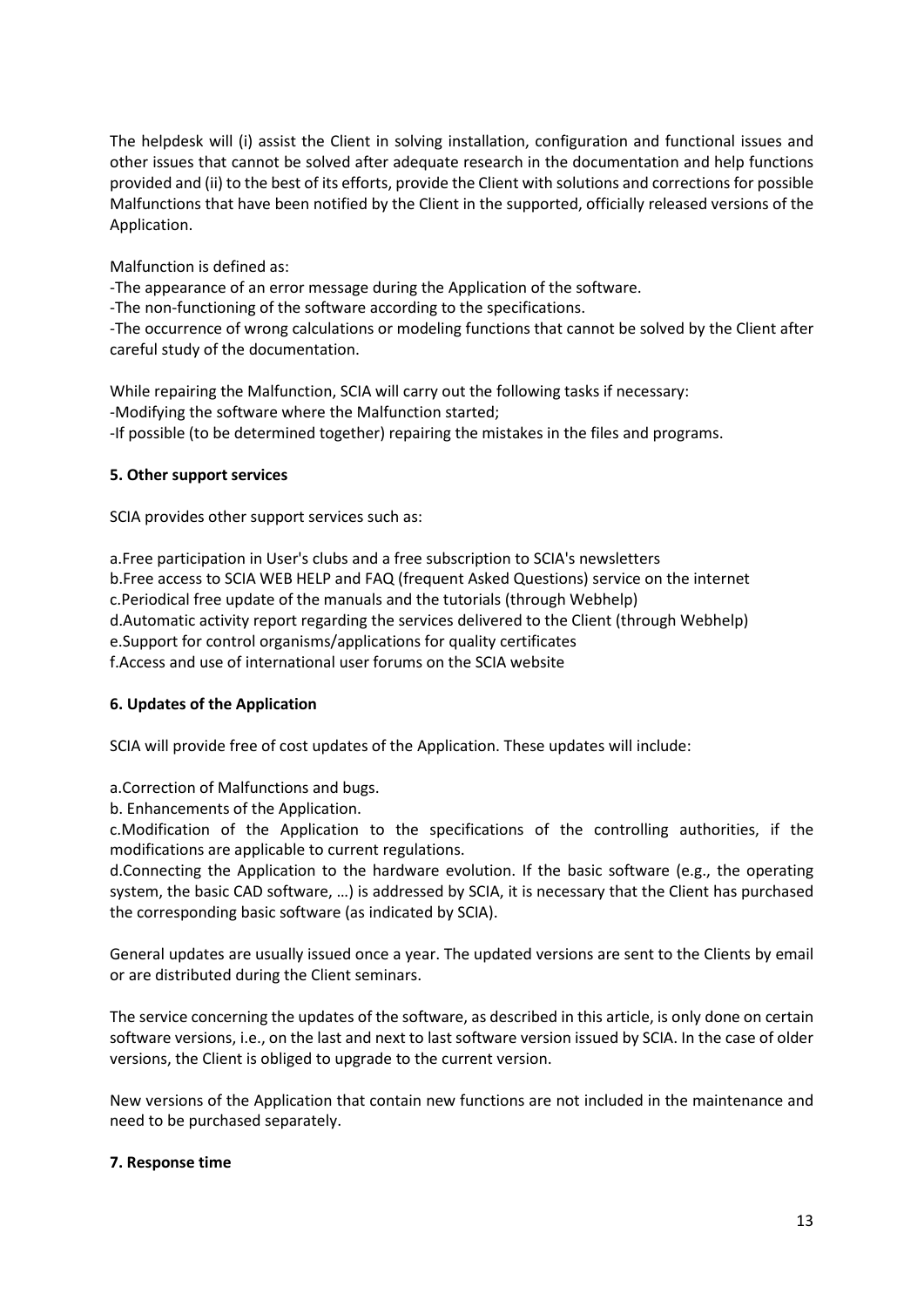The helpdesk will (i) assist the Client in solving installation, configuration and functional issues and other issues that cannot be solved after adequate research in the documentation and help functions provided and (ii) to the best of its efforts, provide the Client with solutions and corrections for possible Malfunctions that have been notified by the Client in the supported, officially released versions of the Application.

Malfunction is defined as:

-The appearance of an error message during the Application of the software.

-The non-functioning of the software according to the specifications.

-The occurrence of wrong calculations or modeling functions that cannot be solved by the Client after careful study of the documentation.

While repairing the Malfunction, SCIA will carry out the following tasks if necessary: -Modifying the software where the Malfunction started; -If possible (to be determined together) repairing the mistakes in the files and programs.

#### **5. Other support services**

SCIA provides other support services such as:

a.Free participation in User's clubs and a free subscription to SCIA's newsletters b.Free access to SCIA WEB HELP and FAQ (frequent Asked Questions) service on the internet c.Periodical free update of the manuals and the tutorials (through Webhelp) d.Automatic activity report regarding the services delivered to the Client (through Webhelp) e.Support for control organisms/applications for quality certificates f.Access and use of international user forums on the SCIA website

### **6. Updates of the Application**

SCIA will provide free of cost updates of the Application. These updates will include:

a.Correction of Malfunctions and bugs.

b. Enhancements of the Application.

c.Modification of the Application to the specifications of the controlling authorities, if the modifications are applicable to current regulations.

d.Connecting the Application to the hardware evolution. If the basic software (e.g., the operating system, the basic CAD software, …) is addressed by SCIA, it is necessary that the Client has purchased the corresponding basic software (as indicated by SCIA).

General updates are usually issued once a year. The updated versions are sent to the Clients by email or are distributed during the Client seminars.

The service concerning the updates of the software, as described in this article, is only done on certain software versions, i.e., on the last and next to last software version issued by SCIA. In the case of older versions, the Client is obliged to upgrade to the current version.

New versions of the Application that contain new functions are not included in the maintenance and need to be purchased separately.

#### **7. Response time**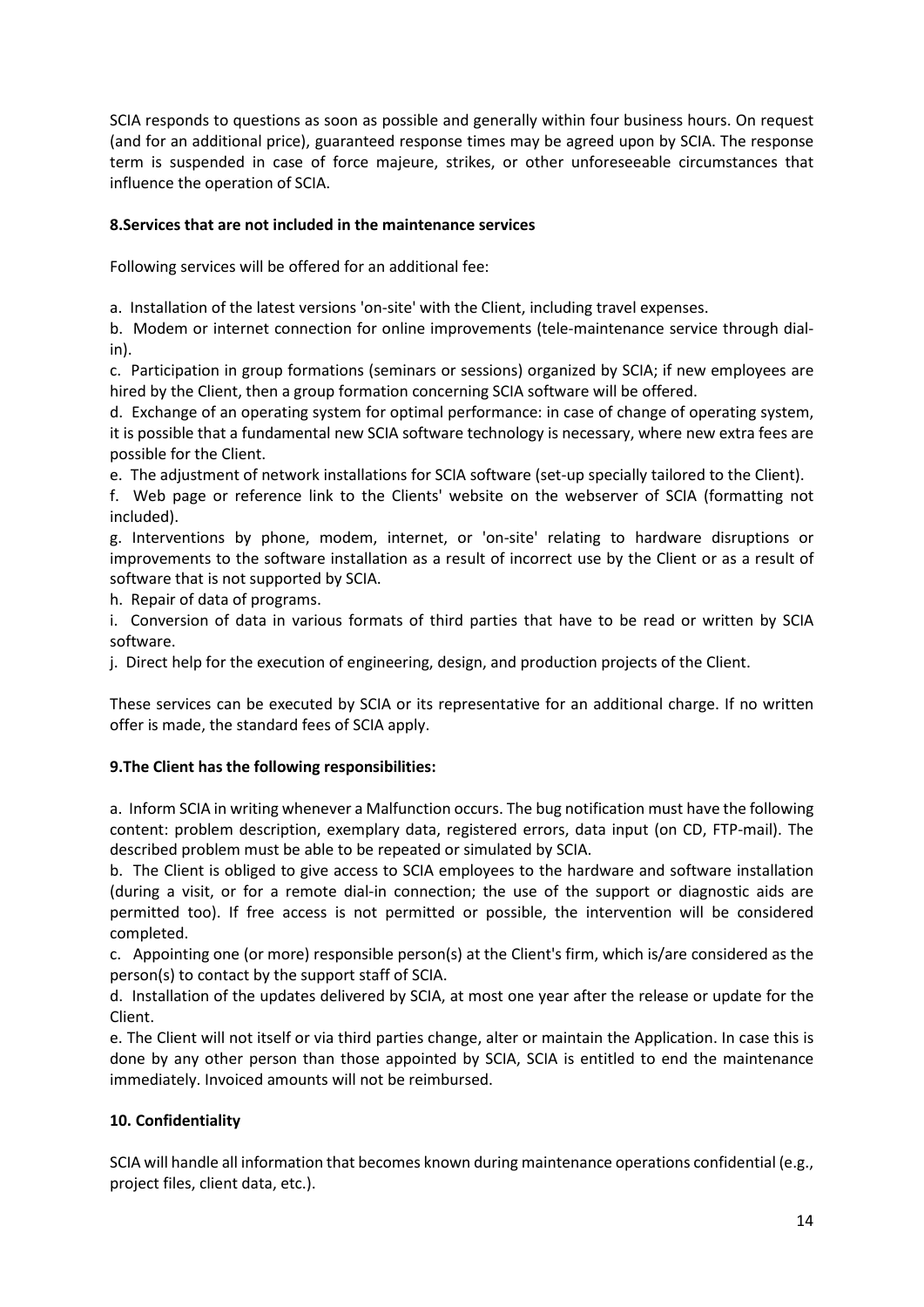SCIA responds to questions as soon as possible and generally within four business hours. On request (and for an additional price), guaranteed response times may be agreed upon by SCIA. The response term is suspended in case of force majeure, strikes, or other unforeseeable circumstances that influence the operation of SCIA.

### **8.Services that are not included in the maintenance services**

Following services will be offered for an additional fee:

a. Installation of the latest versions 'on-site' with the Client, including travel expenses.

b. Modem or internet connection for online improvements (tele-maintenance service through dialin).

c. Participation in group formations (seminars or sessions) organized by SCIA; if new employees are hired by the Client, then a group formation concerning SCIA software will be offered.

d. Exchange of an operating system for optimal performance: in case of change of operating system, it is possible that a fundamental new SCIA software technology is necessary, where new extra fees are possible for the Client.

e. The adjustment of network installations for SCIA software (set-up specially tailored to the Client).

f. Web page or reference link to the Clients' website on the webserver of SCIA (formatting not included).

g. Interventions by phone, modem, internet, or 'on-site' relating to hardware disruptions or improvements to the software installation as a result of incorrect use by the Client or as a result of software that is not supported by SCIA.

h. Repair of data of programs.

i. Conversion of data in various formats of third parties that have to be read or written by SCIA software.

j. Direct help for the execution of engineering, design, and production projects of the Client.

These services can be executed by SCIA or its representative for an additional charge. If no written offer is made, the standard fees of SCIA apply.

# **9.The Client has the following responsibilities:**

a. Inform SCIA in writing whenever a Malfunction occurs. The bug notification must have the following content: problem description, exemplary data, registered errors, data input (on CD, FTP-mail). The described problem must be able to be repeated or simulated by SCIA.

b. The Client is obliged to give access to SCIA employees to the hardware and software installation (during a visit, or for a remote dial-in connection; the use of the support or diagnostic aids are permitted too). If free access is not permitted or possible, the intervention will be considered completed.

c. Appointing one (or more) responsible person(s) at the Client's firm, which is/are considered as the person(s) to contact by the support staff of SCIA.

d. Installation of the updates delivered by SCIA, at most one year after the release or update for the Client.

e. The Client will not itself or via third parties change, alter or maintain the Application. In case this is done by any other person than those appointed by SCIA, SCIA is entitled to end the maintenance immediately. Invoiced amounts will not be reimbursed.

# **10. Confidentiality**

SCIA will handle all information that becomes known during maintenance operations confidential (e.g., project files, client data, etc.).